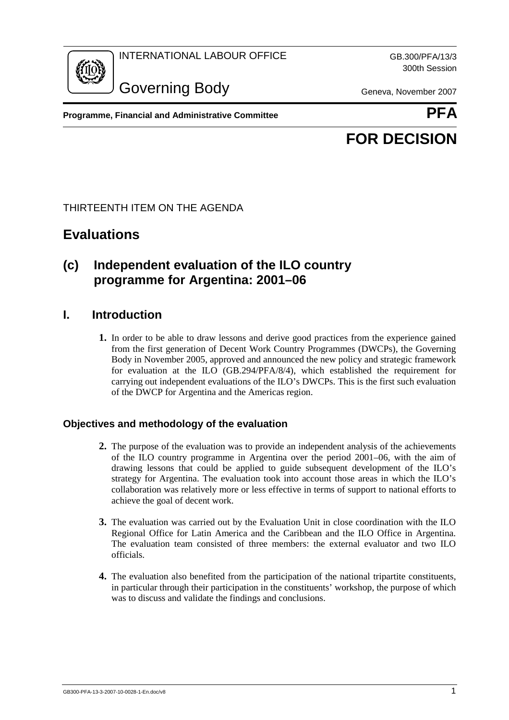INTERNATIONAL LABOUR OFFICE GB.300/PFA/13/3



Governing Body Geneva, November 2007

300th Session

**Programme, Financial and Administrative Committee Administrative PFA** 



# **FOR DECISION**

## THIRTEENTH ITEM ON THE AGENDA

# **Evaluations**

## **(c) Independent evaluation of the ILO country programme for Argentina: 2001–06**

## **I. Introduction**

**1.** In order to be able to draw lessons and derive good practices from the experience gained from the first generation of Decent Work Country Programmes (DWCPs), the Governing Body in November 2005, approved and announced the new policy and strategic framework for evaluation at the  $ILO$  (GB.294/PFA/8/4), which established the requirement for carrying out independent evaluations of the ILO's DWCPs. This is the first such evaluation of the DWCP for Argentina and the Americas region.

## **Objectives and methodology of the evaluation**

- **2.** The purpose of the evaluation was to provide an independent analysis of the achievements of the ILO country programme in Argentina over the period 2001–06, with the aim of drawing lessons that could be applied to guide subsequent development of the ILO's strategy for Argentina. The evaluation took into account those areas in which the ILO's collaboration was relatively more or less effective in terms of support to national efforts to achieve the goal of decent work.
- **3.** The evaluation was carried out by the Evaluation Unit in close coordination with the ILO Regional Office for Latin America and the Caribbean and the ILO Office in Argentina. The evaluation team consisted of three members: the external evaluator and two ILO officials.
- **4.** The evaluation also benefited from the participation of the national tripartite constituents, in particular through their participation in the constituents' workshop, the purpose of which was to discuss and validate the findings and conclusions.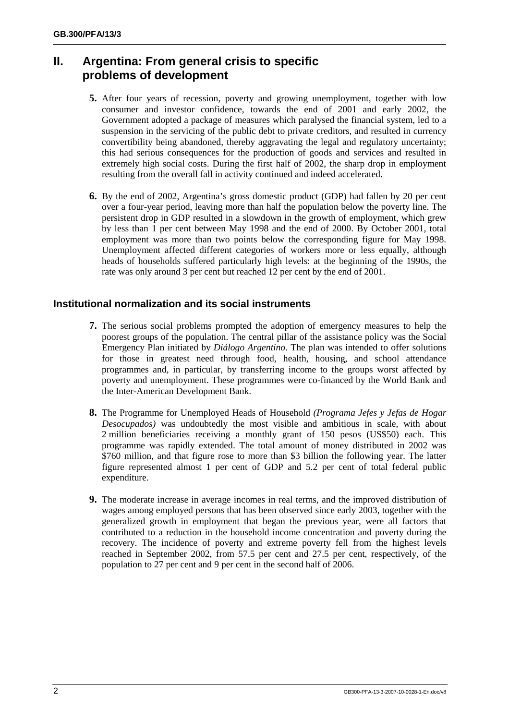## **II. Argentina: From general crisis to specific problems of development**

- **5.** After four years of recession, poverty and growing unemployment, together with low consumer and investor confidence, towards the end of 2001 and early 2002, the Government adopted a package of measures which paralysed the financial system, led to a suspension in the servicing of the public debt to private creditors, and resulted in currency convertibility being abandoned, thereby aggravating the legal and regulatory uncertainty; this had serious consequences for the production of goods and services and resulted in extremely high social costs. During the first half of 2002, the sharp drop in employment resulting from the overall fall in activity continued and indeed accelerated.
- **6.** By the end of 2002, Argentina's gross domestic product (GDP) had fallen by 20 per cent over a four-year period, leaving more than half the population below the poverty line. The persistent drop in GDP resulted in a slowdown in the growth of employment, which grew by less than 1 per cent between May 1998 and the end of 2000. By October 2001, total employment was more than two points below the corresponding figure for May 1998. Unemployment affected different categories of workers more or less equally, although heads of households suffered particularly high levels: at the beginning of the 1990s, the rate was only around 3 per cent but reached 12 per cent by the end of 2001.

## **Institutional normalization and its social instruments**

- **7.** The serious social problems prompted the adoption of emergency measures to help the poorest groups of the population. The central pillar of the assistance policy was the Social Emergency Plan initiated by *Diálogo Argentino*. The plan was intended to offer solutions for those in greatest need through food, health, housing, and school attendance programmes and, in particular, by transferring income to the groups worst affected by poverty and unemployment. These programmes were co-financed by the World Bank and the Inter-American Development Bank.
- **8.** The Programme for Unemployed Heads of Household *(Programa Jefes y Jefas de Hogar Desocupados)* was undoubtedly the most visible and ambitious in scale, with about 2 million beneficiaries receiving a monthly grant of 150 pesos (US\$50) each. This programme was rapidly extended. The total amount of money distributed in 2002 was \$760 million, and that figure rose to more than \$3 billion the following year. The latter figure represented almost 1 per cent of GDP and 5.2 per cent of total federal public expenditure.
- **9.** The moderate increase in average incomes in real terms, and the improved distribution of wages among employed persons that has been observed since early 2003, together with the generalized growth in employment that began the previous year, were all factors that contributed to a reduction in the household income concentration and poverty during the recovery. The incidence of poverty and extreme poverty fell from the highest levels reached in September 2002, from 57.5 per cent and 27.5 per cent, respectively, of the population to 27 per cent and 9 per cent in the second half of 2006.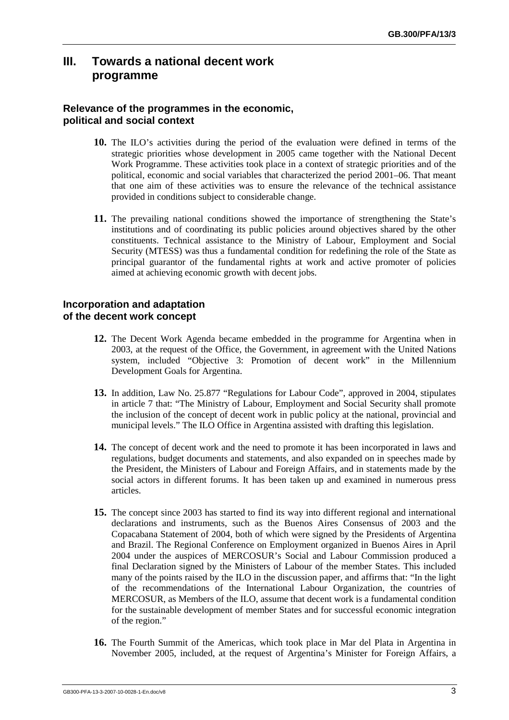## **III. Towards a national decent work programme**

## **Relevance of the programmes in the economic, political and social context**

- **10.** The ILO's activities during the period of the evaluation were defined in terms of the strategic priorities whose development in 2005 came together with the National Decent Work Programme. These activities took place in a context of strategic priorities and of the political, economic and social variables that characterized the period 2001–06. That meant that one aim of these activities was to ensure the relevance of the technical assistance provided in conditions subject to considerable change.
- **11.** The prevailing national conditions showed the importance of strengthening the State's institutions and of coordinating its public policies around objectives shared by the other constituents. Technical assistance to the Ministry of Labour, Employment and Social Security (MTESS) was thus a fundamental condition for redefining the role of the State as principal guarantor of the fundamental rights at work and active promoter of policies aimed at achieving economic growth with decent jobs.

#### **Incorporation and adaptation of the decent work concept**

- **12.** The Decent Work Agenda became embedded in the programme for Argentina when in 2003, at the request of the Office, the Government, in agreement with the United Nations system, included "Objective 3: Promotion of decent work" in the Millennium Development Goals for Argentina.
- **13.** In addition, Law No. 25.877 "Regulations for Labour Code", approved in 2004, stipulates in article 7 that: "The Ministry of Labour, Employment and Social Security shall promote the inclusion of the concept of decent work in public policy at the national, provincial and municipal levels." The ILO Office in Argentina assisted with drafting this legislation.
- **14.** The concept of decent work and the need to promote it has been incorporated in laws and regulations, budget documents and statements, and also expanded on in speeches made by the President, the Ministers of Labour and Foreign Affairs, and in statements made by the social actors in different forums. It has been taken up and examined in numerous press articles.
- **15.** The concept since 2003 has started to find its way into different regional and international declarations and instruments, such as the Buenos Aires Consensus of 2003 and the Copacabana Statement of 2004, both of which were signed by the Presidents of Argentina and Brazil. The Regional Conference on Employment organized in Buenos Aires in April 2004 under the auspices of MERCOSUR's Social and Labour Commission produced a final Declaration signed by the Ministers of Labour of the member States. This included many of the points raised by the ILO in the discussion paper, and affirms that: "In the light of the recommendations of the International Labour Organization, the countries of MERCOSUR, as Members of the ILO, assume that decent work is a fundamental condition for the sustainable development of member States and for successful economic integration of the region."
- **16.** The Fourth Summit of the Americas, which took place in Mar del Plata in Argentina in November 2005, included, at the request of Argentina's Minister for Foreign Affairs, a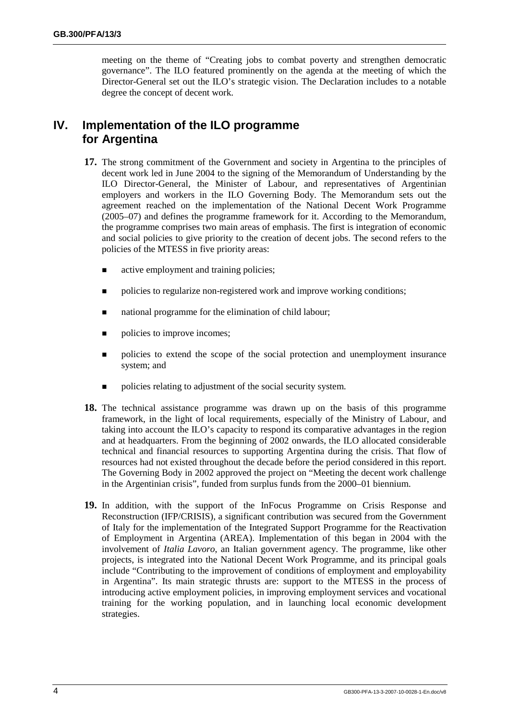meeting on the theme of "Creating jobs to combat poverty and strengthen democratic governance". The ILO featured prominently on the agenda at the meeting of which the Director-General set out the ILO's strategic vision. The Declaration includes to a notable degree the concept of decent work.

## **IV. Implementation of the ILO programme for Argentina**

- **17.** The strong commitment of the Government and society in Argentina to the principles of decent work led in June 2004 to the signing of the Memorandum of Understanding by the ILO Director-General, the Minister of Labour, and representatives of Argentinian employers and workers in the ILO Governing Body. The Memorandum sets out the agreement reached on the implementation of the National Decent Work Programme (2005–07) and defines the programme framework for it. According to the Memorandum, the programme comprises two main areas of emphasis. The first is integration of economic and social policies to give priority to the creation of decent jobs. The second refers to the policies of the MTESS in five priority areas:
	- $\blacksquare$  active employment and training policies;
	- $\blacksquare$  policies to regularize non-registered work and improve working conditions;
	- $\blacksquare$  national programme for the elimination of child labour;
	- $\blacksquare$  policies to improve incomes;
	- ! policies to extend the scope of the social protection and unemployment insurance system; and
	- $\blacksquare$  policies relating to adjustment of the social security system.
- **18.** The technical assistance programme was drawn up on the basis of this programme framework, in the light of local requirements, especially of the Ministry of Labour, and taking into account the ILO's capacity to respond its comparative advantages in the region and at headquarters. From the beginning of 2002 onwards, the ILO allocated considerable technical and financial resources to supporting Argentina during the crisis. That flow of resources had not existed throughout the decade before the period considered in this report. The Governing Body in 2002 approved the project on "Meeting the decent work challenge in the Argentinian crisis", funded from surplus funds from the 2000–01 biennium.
- **19.** In addition, with the support of the InFocus Programme on Crisis Response and Reconstruction (IFP/CRISIS), a significant contribution was secured from the Government of Italy for the implementation of the Integrated Support Programme for the Reactivation of Employment in Argentina (AREA). Implementation of this began in 2004 with the involvement of *Italia Lavoro*, an Italian government agency. The programme, like other projects, is integrated into the National Decent Work Programme, and its principal goals include "Contributing to the improvement of conditions of employment and employability in Argentina". Its main strategic thrusts are: support to the MTESS in the process of introducing active employment policies, in improving employment services and vocational training for the working population, and in launching local economic development strategies.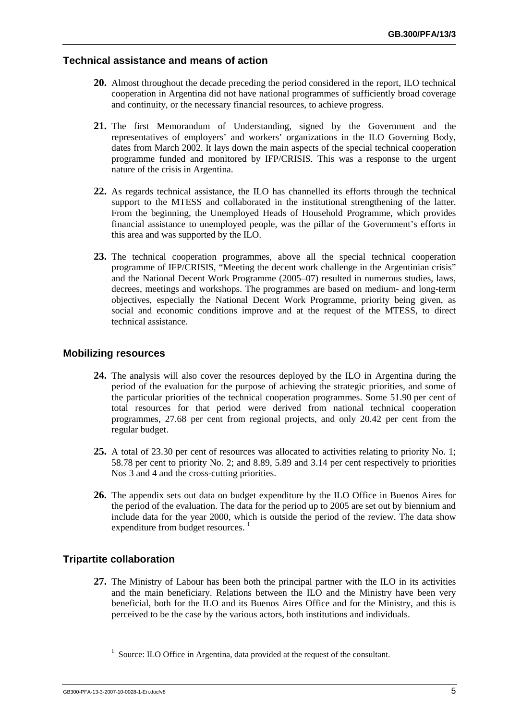### **Technical assistance and means of action**

- **20.** Almost throughout the decade preceding the period considered in the report, ILO technical cooperation in Argentina did not have national programmes of sufficiently broad coverage and continuity, or the necessary financial resources, to achieve progress.
- **21.** The first Memorandum of Understanding, signed by the Government and the representatives of employers' and workers' organizations in the ILO Governing Body, dates from March 2002. It lays down the main aspects of the special technical cooperation programme funded and monitored by IFP/CRISIS. This was a response to the urgent nature of the crisis in Argentina.
- **22.** As regards technical assistance, the ILO has channelled its efforts through the technical support to the MTESS and collaborated in the institutional strengthening of the latter. From the beginning, the Unemployed Heads of Household Programme, which provides financial assistance to unemployed people, was the pillar of the Government's efforts in this area and was supported by the ILO.
- **23.** The technical cooperation programmes, above all the special technical cooperation programme of IFP/CRISIS, "Meeting the decent work challenge in the Argentinian crisis" and the National Decent Work Programme (2005–07) resulted in numerous studies, laws, decrees, meetings and workshops. The programmes are based on medium- and long-term objectives, especially the National Decent Work Programme, priority being given, as social and economic conditions improve and at the request of the MTESS, to direct technical assistance.

#### **Mobilizing resources**

- **24.** The analysis will also cover the resources deployed by the ILO in Argentina during the period of the evaluation for the purpose of achieving the strategic priorities, and some of the particular priorities of the technical cooperation programmes. Some 51.90 per cent of total resources for that period were derived from national technical cooperation programmes, 27.68 per cent from regional projects, and only 20.42 per cent from the regular budget.
- **25.** A total of 23.30 per cent of resources was allocated to activities relating to priority No. 1; 58.78 per cent to priority No. 2; and 8.89, 5.89 and 3.14 per cent respectively to priorities Nos 3 and 4 and the cross-cutting priorities.
- **26.** The appendix sets out data on budget expenditure by the ILO Office in Buenos Aires for the period of the evaluation. The data for the period up to 2005 are set out by biennium and include data for the year 2000, which is outside the period of the review. The data show expenditure from budget resources.  $<sup>1</sup>$ </sup>

### **Tripartite collaboration**

**27.** The Ministry of Labour has been both the principal partner with the ILO in its activities and the main beneficiary. Relations between the ILO and the Ministry have been very beneficial, both for the ILO and its Buenos Aires Office and for the Ministry, and this is perceived to be the case by the various actors, both institutions and individuals.

<sup>1</sup> Source: ILO Office in Argentina, data provided at the request of the consultant.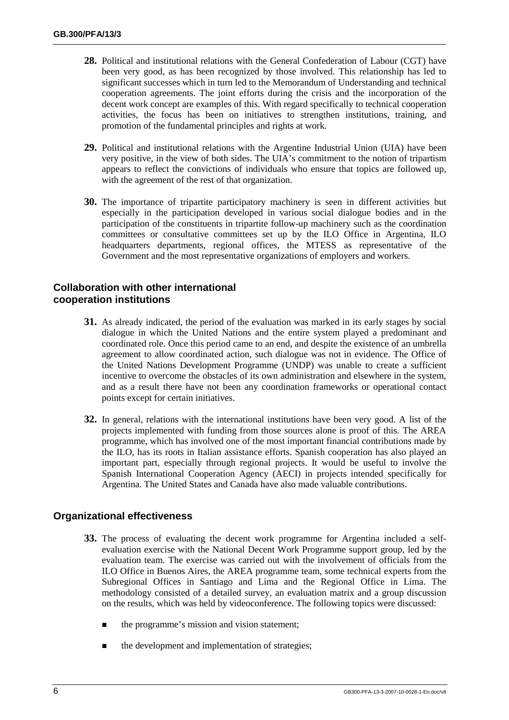- **28.** Political and institutional relations with the General Confederation of Labour (CGT) have been very good, as has been recognized by those involved. This relationship has led to significant successes which in turn led to the Memorandum of Understanding and technical cooperation agreements. The joint efforts during the crisis and the incorporation of the decent work concept are examples of this. With regard specifically to technical cooperation activities, the focus has been on initiatives to strengthen institutions, training, and promotion of the fundamental principles and rights at work.
- **29.** Political and institutional relations with the Argentine Industrial Union (UIA) have been very positive, in the view of both sides. The UIA's commitment to the notion of tripartism appears to reflect the convictions of individuals who ensure that topics are followed up, with the agreement of the rest of that organization.
- **30.** The importance of tripartite participatory machinery is seen in different activities but especially in the participation developed in various social dialogue bodies and in the participation of the constituents in tripartite follow-up machinery such as the coordination committees or consultative committees set up by the ILO Office in Argentina, ILO headquarters departments, regional offices, the MTESS as representative of the Government and the most representative organizations of employers and workers.

## **Collaboration with other international cooperation institutions**

- **31.** As already indicated, the period of the evaluation was marked in its early stages by social dialogue in which the United Nations and the entire system played a predominant and coordinated role. Once this period came to an end, and despite the existence of an umbrella agreement to allow coordinated action, such dialogue was not in evidence. The Office of the United Nations Development Programme (UNDP) was unable to create a sufficient incentive to overcome the obstacles of its own administration and elsewhere in the system, and as a result there have not been any coordination frameworks or operational contact points except for certain initiatives.
- **32.** In general, relations with the international institutions have been very good. A list of the projects implemented with funding from those sources alone is proof of this. The AREA programme, which has involved one of the most important financial contributions made by the ILO, has its roots in Italian assistance efforts. Spanish cooperation has also played an important part, especially through regional projects. It would be useful to involve the Spanish International Cooperation Agency (AECI) in projects intended specifically for Argentina. The United States and Canada have also made valuable contributions.

## **Organizational effectiveness**

- **33.** The process of evaluating the decent work programme for Argentina included a selfevaluation exercise with the National Decent Work Programme support group, led by the evaluation team. The exercise was carried out with the involvement of officials from the ILO Office in Buenos Aires, the AREA programme team, some technical experts from the Subregional Offices in Santiago and Lima and the Regional Office in Lima. The methodology consisted of a detailed survey, an evaluation matrix and a group discussion on the results, which was held by videoconference. The following topics were discussed:
	- $\blacksquare$  the programme's mission and vision statement;
	- the development and implementation of strategies;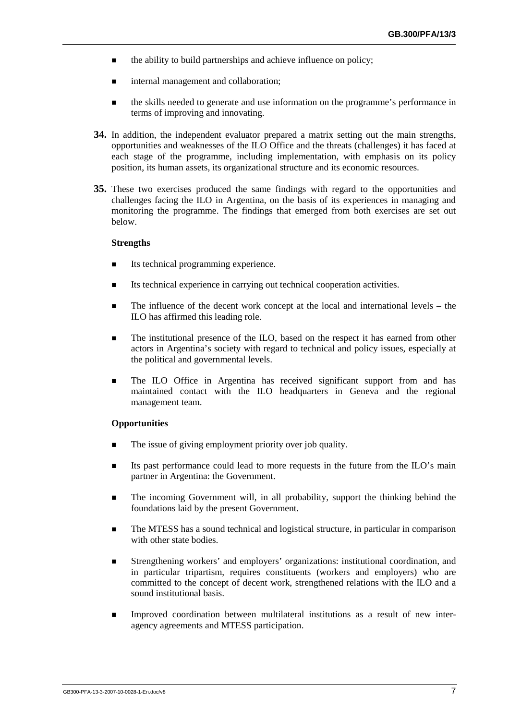- $\blacksquare$  the ability to build partnerships and achieve influence on policy;
- $\blacksquare$  internal management and collaboration;
- ! the skills needed to generate and use information on the programme's performance in terms of improving and innovating.
- **34.** In addition, the independent evaluator prepared a matrix setting out the main strengths, opportunities and weaknesses of the ILO Office and the threats (challenges) it has faced at each stage of the programme, including implementation, with emphasis on its policy position, its human assets, its organizational structure and its economic resources.
- **35.** These two exercises produced the same findings with regard to the opportunities and challenges facing the ILO in Argentina, on the basis of its experiences in managing and monitoring the programme. The findings that emerged from both exercises are set out below.

#### **Strengths**

- Its technical programming experience.
- ! Its technical experience in carrying out technical cooperation activities.
- ! The influence of the decent work concept at the local and international levels the ILO has affirmed this leading role.
- **I.** The institutional presence of the ILO, based on the respect it has earned from other actors in Argentina's society with regard to technical and policy issues, especially at the political and governmental levels.
- ! The ILO Office in Argentina has received significant support from and has maintained contact with the ILO headquarters in Geneva and the regional management team.

#### **Opportunities**

- The issue of giving employment priority over job quality.
- Its past performance could lead to more requests in the future from the ILO's main partner in Argentina: the Government.
- ! The incoming Government will, in all probability, support the thinking behind the foundations laid by the present Government.
- ! The MTESS has a sound technical and logistical structure, in particular in comparison with other state bodies.
- ! Strengthening workers' and employers' organizations: institutional coordination, and in particular tripartism, requires constituents (workers and employers) who are committed to the concept of decent work, strengthened relations with the ILO and a sound institutional basis.
- ! Improved coordination between multilateral institutions as a result of new interagency agreements and MTESS participation.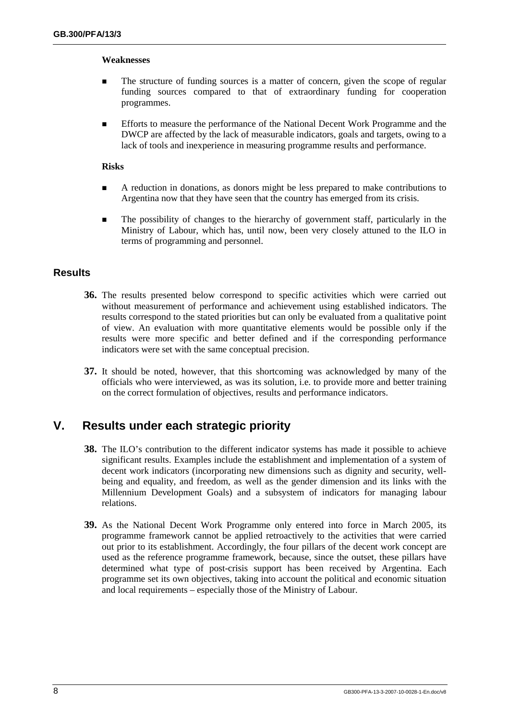#### **Weaknesses**

- The structure of funding sources is a matter of concern, given the scope of regular funding sources compared to that of extraordinary funding for cooperation programmes.
- **Efforts to measure the performance of the National Decent Work Programme and the** DWCP are affected by the lack of measurable indicators, goals and targets, owing to a lack of tools and inexperience in measuring programme results and performance.

#### **Risks**

- ! A reduction in donations, as donors might be less prepared to make contributions to Argentina now that they have seen that the country has emerged from its crisis.
- ! The possibility of changes to the hierarchy of government staff, particularly in the Ministry of Labour, which has, until now, been very closely attuned to the ILO in terms of programming and personnel.

### **Results**

- **36.** The results presented below correspond to specific activities which were carried out without measurement of performance and achievement using established indicators. The results correspond to the stated priorities but can only be evaluated from a qualitative point of view. An evaluation with more quantitative elements would be possible only if the results were more specific and better defined and if the corresponding performance indicators were set with the same conceptual precision.
- **37.** It should be noted, however, that this shortcoming was acknowledged by many of the officials who were interviewed, as was its solution, i.e. to provide more and better training on the correct formulation of objectives, results and performance indicators.

## **V. Results under each strategic priority**

- **38.** The ILO's contribution to the different indicator systems has made it possible to achieve significant results. Examples include the establishment and implementation of a system of decent work indicators (incorporating new dimensions such as dignity and security, wellbeing and equality, and freedom, as well as the gender dimension and its links with the Millennium Development Goals) and a subsystem of indicators for managing labour relations.
- **39.** As the National Decent Work Programme only entered into force in March 2005, its programme framework cannot be applied retroactively to the activities that were carried out prior to its establishment. Accordingly, the four pillars of the decent work concept are used as the reference programme framework, because, since the outset, these pillars have determined what type of post-crisis support has been received by Argentina. Each programme set its own objectives, taking into account the political and economic situation and local requirements – especially those of the Ministry of Labour.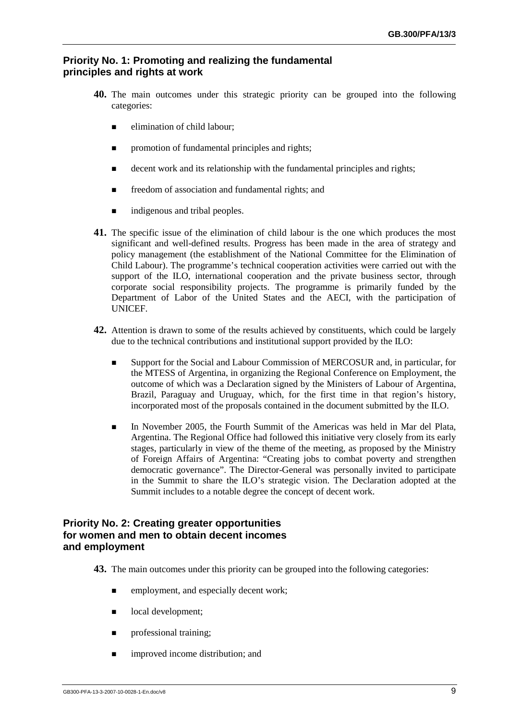## **Priority No. 1: Promoting and realizing the fundamental principles and rights at work**

- **40.** The main outcomes under this strategic priority can be grouped into the following categories:
	- $\blacksquare$  elimination of child labour;
	- promotion of fundamental principles and rights;
	- $\blacksquare$  decent work and its relationship with the fundamental principles and rights;
	- **EXECUTE:** freedom of association and fundamental rights; and
	- $\blacksquare$  indigenous and tribal peoples.
- **41.** The specific issue of the elimination of child labour is the one which produces the most significant and well-defined results. Progress has been made in the area of strategy and policy management (the establishment of the National Committee for the Elimination of Child Labour). The programme's technical cooperation activities were carried out with the support of the ILO, international cooperation and the private business sector, through corporate social responsibility projects. The programme is primarily funded by the Department of Labor of the United States and the AECI, with the participation of **UNICEF.**
- **42.** Attention is drawn to some of the results achieved by constituents, which could be largely due to the technical contributions and institutional support provided by the ILO:
	- ! Support for the Social and Labour Commission of MERCOSUR and, in particular, for the MTESS of Argentina, in organizing the Regional Conference on Employment, the outcome of which was a Declaration signed by the Ministers of Labour of Argentina, Brazil, Paraguay and Uruguay, which, for the first time in that region's history, incorporated most of the proposals contained in the document submitted by the ILO.
	- ! In November 2005, the Fourth Summit of the Americas was held in Mar del Plata, Argentina. The Regional Office had followed this initiative very closely from its early stages, particularly in view of the theme of the meeting, as proposed by the Ministry of Foreign Affairs of Argentina: "Creating jobs to combat poverty and strengthen democratic governance". The Director-General was personally invited to participate in the Summit to share the ILO's strategic vision. The Declaration adopted at the Summit includes to a notable degree the concept of decent work.

## **Priority No. 2: Creating greater opportunities for women and men to obtain decent incomes and employment**

**43.** The main outcomes under this priority can be grouped into the following categories:

- $\blacksquare$  employment, and especially decent work;
- $\blacksquare$  local development;
- **n** professional training:
- **If** improved income distribution; and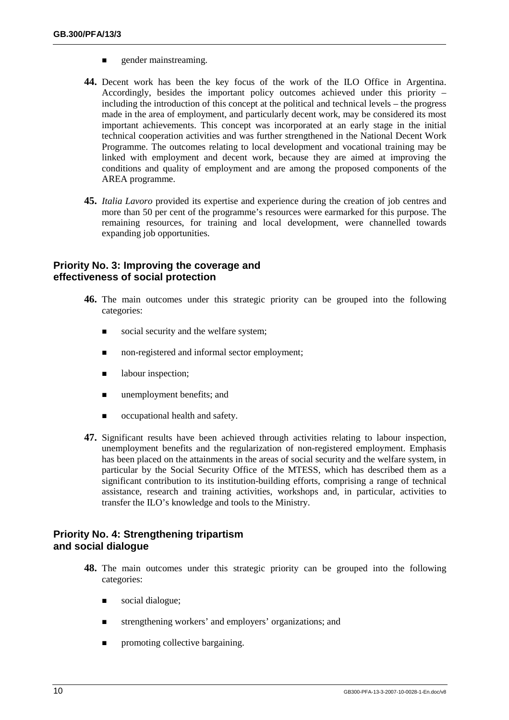- **Exercise 2** gender mainstreaming.
- **44.** Decent work has been the key focus of the work of the ILO Office in Argentina. Accordingly, besides the important policy outcomes achieved under this priority – including the introduction of this concept at the political and technical levels – the progress made in the area of employment, and particularly decent work, may be considered its most important achievements. This concept was incorporated at an early stage in the initial technical cooperation activities and was further strengthened in the National Decent Work Programme. The outcomes relating to local development and vocational training may be linked with employment and decent work, because they are aimed at improving the conditions and quality of employment and are among the proposed components of the AREA programme.
- **45.** *Italia Lavoro* provided its expertise and experience during the creation of job centres and more than 50 per cent of the programme's resources were earmarked for this purpose. The remaining resources, for training and local development, were channelled towards expanding job opportunities.

## **Priority No. 3: Improving the coverage and effectiveness of social protection**

- **46.** The main outcomes under this strategic priority can be grouped into the following categories:
	- social security and the welfare system;
	- non-registered and informal sector employment;
	- **I** labour inspection;
	- $\blacksquare$  unemployment benefits; and
	- ! occupational health and safety.
- **47.** Significant results have been achieved through activities relating to labour inspection, unemployment benefits and the regularization of non-registered employment. Emphasis has been placed on the attainments in the areas of social security and the welfare system, in particular by the Social Security Office of the MTESS, which has described them as a significant contribution to its institution-building efforts, comprising a range of technical assistance, research and training activities, workshops and, in particular, activities to transfer the ILO's knowledge and tools to the Ministry.

## **Priority No. 4: Strengthening tripartism and social dialogue**

- **48.** The main outcomes under this strategic priority can be grouped into the following categories:
	- social dialogue;
	- ! strengthening workers' and employers' organizations; and
	- $\blacksquare$  promoting collective bargaining.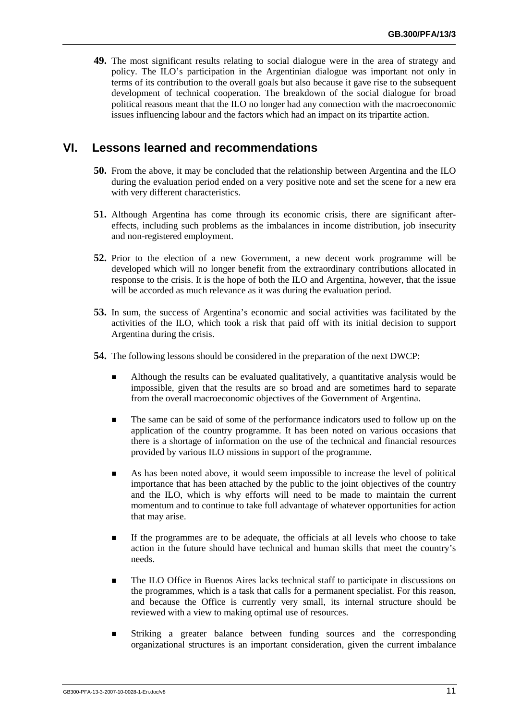**49.** The most significant results relating to social dialogue were in the area of strategy and policy. The ILO's participation in the Argentinian dialogue was important not only in terms of its contribution to the overall goals but also because it gave rise to the subsequent development of technical cooperation. The breakdown of the social dialogue for broad political reasons meant that the ILO no longer had any connection with the macroeconomic issues influencing labour and the factors which had an impact on its tripartite action.

## **VI. Lessons learned and recommendations**

- **50.** From the above, it may be concluded that the relationship between Argentina and the ILO during the evaluation period ended on a very positive note and set the scene for a new era with very different characteristics.
- **51.** Although Argentina has come through its economic crisis, there are significant aftereffects, including such problems as the imbalances in income distribution, job insecurity and non-registered employment.
- **52.** Prior to the election of a new Government, a new decent work programme will be developed which will no longer benefit from the extraordinary contributions allocated in response to the crisis. It is the hope of both the ILO and Argentina, however, that the issue will be accorded as much relevance as it was during the evaluation period.
- **53.** In sum, the success of Argentina's economic and social activities was facilitated by the activities of the ILO, which took a risk that paid off with its initial decision to support Argentina during the crisis.
- **54.** The following lessons should be considered in the preparation of the next DWCP:
	- ! Although the results can be evaluated qualitatively, a quantitative analysis would be impossible, given that the results are so broad and are sometimes hard to separate from the overall macroeconomic objectives of the Government of Argentina.
	- ! The same can be said of some of the performance indicators used to follow up on the application of the country programme. It has been noted on various occasions that there is a shortage of information on the use of the technical and financial resources provided by various ILO missions in support of the programme.
	- ! As has been noted above, it would seem impossible to increase the level of political importance that has been attached by the public to the joint objectives of the country and the ILO, which is why efforts will need to be made to maintain the current momentum and to continue to take full advantage of whatever opportunities for action that may arise.
	- ! If the programmes are to be adequate, the officials at all levels who choose to take action in the future should have technical and human skills that meet the country's needs.
	- **I.** The ILO Office in Buenos Aires lacks technical staff to participate in discussions on the programmes, which is a task that calls for a permanent specialist. For this reason, and because the Office is currently very small, its internal structure should be reviewed with a view to making optimal use of resources.
	- ! Striking a greater balance between funding sources and the corresponding organizational structures is an important consideration, given the current imbalance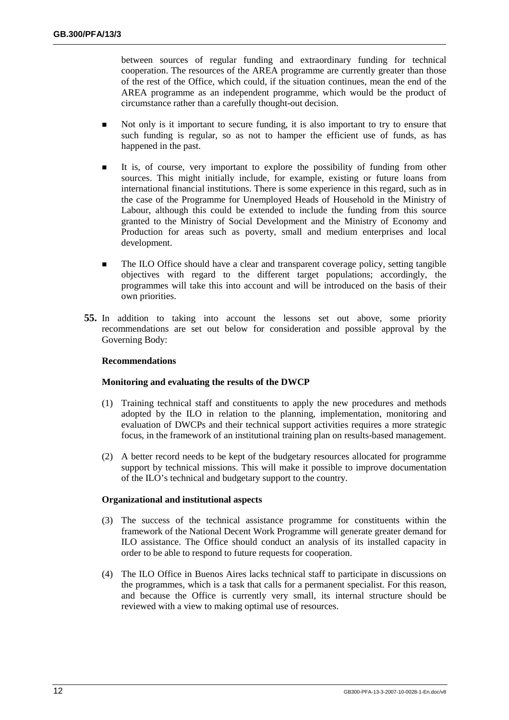between sources of regular funding and extraordinary funding for technical cooperation. The resources of the AREA programme are currently greater than those of the rest of the Office, which could, if the situation continues, mean the end of the AREA programme as an independent programme, which would be the product of circumstance rather than a carefully thought-out decision.

- **In all Not only is it important to secure funding, it is also important to try to ensure that** such funding is regular, so as not to hamper the efficient use of funds, as has happened in the past.
- ! It is, of course, very important to explore the possibility of funding from other sources. This might initially include, for example, existing or future loans from international financial institutions. There is some experience in this regard, such as in the case of the Programme for Unemployed Heads of Household in the Ministry of Labour, although this could be extended to include the funding from this source granted to the Ministry of Social Development and the Ministry of Economy and Production for areas such as poverty, small and medium enterprises and local development.
- ! The ILO Office should have a clear and transparent coverage policy, setting tangible objectives with regard to the different target populations; accordingly, the programmes will take this into account and will be introduced on the basis of their own priorities.
- **55.** In addition to taking into account the lessons set out above, some priority recommendations are set out below for consideration and possible approval by the Governing Body:

#### **Recommendations**

#### **Monitoring and evaluating the results of the DWCP**

- (1) Training technical staff and constituents to apply the new procedures and methods adopted by the ILO in relation to the planning, implementation, monitoring and evaluation of DWCPs and their technical support activities requires a more strategic focus, in the framework of an institutional training plan on results-based management.
- (2) A better record needs to be kept of the budgetary resources allocated for programme support by technical missions. This will make it possible to improve documentation of the ILO's technical and budgetary support to the country.

#### **Organizational and institutional aspects**

- (3) The success of the technical assistance programme for constituents within the framework of the National Decent Work Programme will generate greater demand for ILO assistance. The Office should conduct an analysis of its installed capacity in order to be able to respond to future requests for cooperation.
- (4) The ILO Office in Buenos Aires lacks technical staff to participate in discussions on the programmes, which is a task that calls for a permanent specialist. For this reason, and because the Office is currently very small, its internal structure should be reviewed with a view to making optimal use of resources.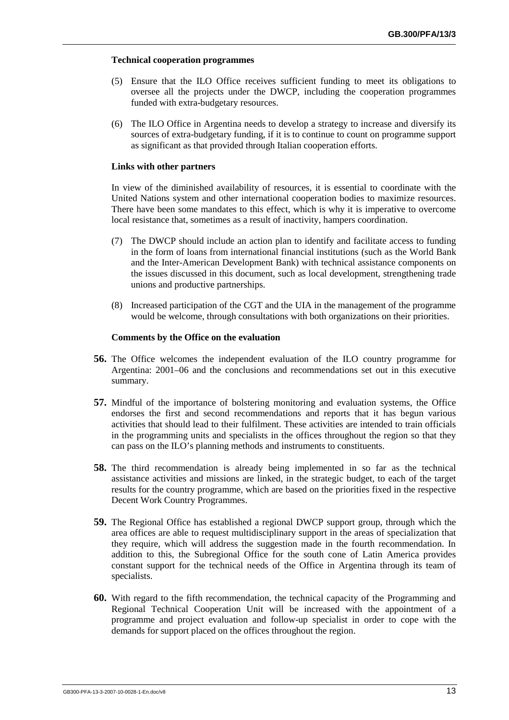#### **Technical cooperation programmes**

- (5) Ensure that the ILO Office receives sufficient funding to meet its obligations to oversee all the projects under the DWCP, including the cooperation programmes funded with extra-budgetary resources.
- (6) The ILO Office in Argentina needs to develop a strategy to increase and diversify its sources of extra-budgetary funding, if it is to continue to count on programme support as significant as that provided through Italian cooperation efforts.

#### **Links with other partners**

In view of the diminished availability of resources, it is essential to coordinate with the United Nations system and other international cooperation bodies to maximize resources. There have been some mandates to this effect, which is why it is imperative to overcome local resistance that, sometimes as a result of inactivity, hampers coordination.

- (7) The DWCP should include an action plan to identify and facilitate access to funding in the form of loans from international financial institutions (such as the World Bank and the Inter-American Development Bank) with technical assistance components on the issues discussed in this document, such as local development, strengthening trade unions and productive partnerships.
- (8) Increased participation of the CGT and the UIA in the management of the programme would be welcome, through consultations with both organizations on their priorities.

#### **Comments by the Office on the evaluation**

- **56.** The Office welcomes the independent evaluation of the ILO country programme for Argentina: 2001–06 and the conclusions and recommendations set out in this executive summary.
- **57.** Mindful of the importance of bolstering monitoring and evaluation systems, the Office endorses the first and second recommendations and reports that it has begun various activities that should lead to their fulfilment. These activities are intended to train officials in the programming units and specialists in the offices throughout the region so that they can pass on the ILO's planning methods and instruments to constituents.
- **58.** The third recommendation is already being implemented in so far as the technical assistance activities and missions are linked, in the strategic budget, to each of the target results for the country programme, which are based on the priorities fixed in the respective Decent Work Country Programmes.
- **59.** The Regional Office has established a regional DWCP support group, through which the area offices are able to request multidisciplinary support in the areas of specialization that they require, which will address the suggestion made in the fourth recommendation. In addition to this, the Subregional Office for the south cone of Latin America provides constant support for the technical needs of the Office in Argentina through its team of specialists.
- **60.** With regard to the fifth recommendation, the technical capacity of the Programming and Regional Technical Cooperation Unit will be increased with the appointment of a programme and project evaluation and follow-up specialist in order to cope with the demands for support placed on the offices throughout the region.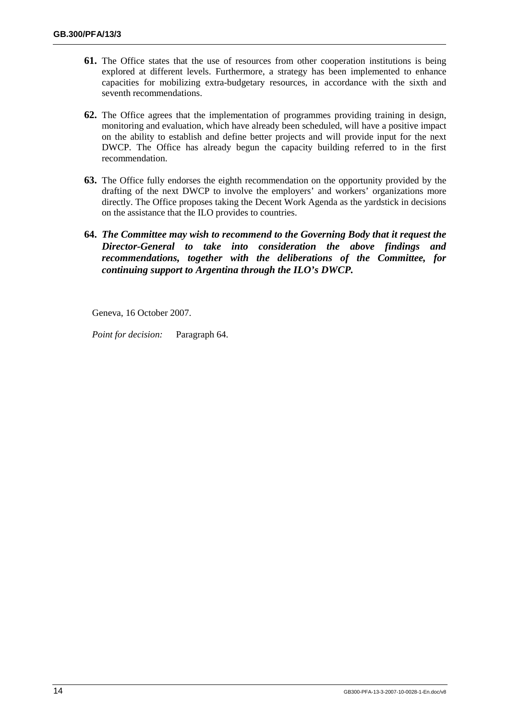- **61.** The Office states that the use of resources from other cooperation institutions is being explored at different levels. Furthermore, a strategy has been implemented to enhance capacities for mobilizing extra-budgetary resources, in accordance with the sixth and seventh recommendations.
- **62.** The Office agrees that the implementation of programmes providing training in design, monitoring and evaluation, which have already been scheduled, will have a positive impact on the ability to establish and define better projects and will provide input for the next DWCP. The Office has already begun the capacity building referred to in the first recommendation.
- **63.** The Office fully endorses the eighth recommendation on the opportunity provided by the drafting of the next DWCP to involve the employers' and workers' organizations more directly. The Office proposes taking the Decent Work Agenda as the yardstick in decisions on the assistance that the ILO provides to countries.
- **64.** *The Committee may wish to recommend to the Governing Body that it request the Director-General to take into consideration the above findings and recommendations, together with the deliberations of the Committee, for continuing support to Argentina through the ILO's DWCP.*

Geneva, 16 October 2007.

*Point for decision:* Paragraph 64.